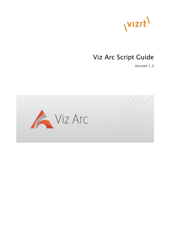

# Viz Arc Script Guide

Version 1.2

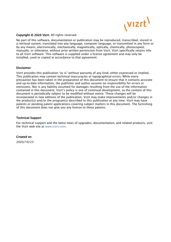

#### Copyright © 2020 Vizrt. All rights reserved.

No part of this software, documentation or publication may be reproduced, transcribed, stored in a retrieval system, translated into any language, computer language, or transmitted in any form or by any means, electronically, mechanically, magnetically, optically, chemically, photocopied, manually, or otherwise, without prior written permission from Vizrt. Vizrt specifically retains title to all Vizrt software. This software is supplied under a license agreement and may only be installed, used or copied in accordance to that agreement.

#### Disclaimer

Vizrt provides this publication "as is" without warranty of any kind, either expressed or implied. This publication may contain technical inaccuracies or typographical errors. While every precaution has been taken in the preparation of this document to ensure that it contains accurate and up-to-date information, the publisher and author assume no responsibility for errors or omissions. Nor is any liability assumed for damages resulting from the use of the information contained in this document. Vizrt's policy is one of continual development, so the content of this document is periodically subject to be modified without notice. These changes will be incorporated in new editions of the publication. Vizrt may make improvements and/or changes in the product(s) and/or the program(s) described in this publication at any time. Vizrt may have patents or pending patent applications covering subject matters in this document. The furnishing of this document does not give you any license to these patents.

#### Technical Support

For technical support and the latest news of upgrades, documentation, and related products, visit the Vizrt web site at [www.vizrt.com.](http://www.vizrt.com)

#### Created on

2020/10/23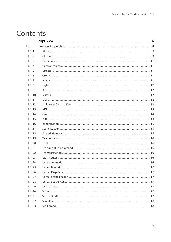# Contents

| 1      |  |
|--------|--|
| 1.1    |  |
| 1.1.1  |  |
| 1.1.2  |  |
| 1.1.3  |  |
| 1.1.4  |  |
| 1.1.5  |  |
| 1.1.6  |  |
| 1.1.7  |  |
| 1.1.8  |  |
| 1.1.9  |  |
| 1.1.10 |  |
| 1.1.11 |  |
| 1.1.12 |  |
| 1.1.13 |  |
| 1.1.14 |  |
| 1.1.15 |  |
| 1.1.16 |  |
| 1.1.17 |  |
| 1.1.18 |  |
| 1.1.19 |  |
| 1.1.20 |  |
| 1.1.21 |  |
| 1.1.22 |  |
| 1.1.23 |  |
| 1.1.24 |  |
| 1.1.25 |  |
| 1.1.26 |  |
| 1.1.27 |  |
| 1.1.28 |  |
| 1.1.29 |  |
| 1.1.30 |  |
| 1.1.31 |  |
| 1.1.32 |  |
| 1.1.33 |  |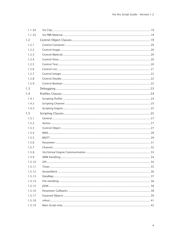| 1.1.34 |              |    |
|--------|--------------|----|
| 1.1.35 |              |    |
| 1.2    |              |    |
| 1.2.1  |              |    |
| 1.2.2  |              |    |
| 1.2.3  |              |    |
| 1.2.4  |              |    |
| 1.2.5  |              |    |
| 1.2.6  |              |    |
| 1.2.7  |              |    |
| 1.2.8  |              |    |
| 1.2.9  |              |    |
| 1.3    |              |    |
| 1.4    |              |    |
| 1.4.1  |              |    |
| 1.4.2  |              |    |
| 1.4.3  |              |    |
| 1.5    |              |    |
| 1.5.1  |              |    |
| 1.5.2  |              |    |
| 1.5.3  |              |    |
| 1.5.4  |              |    |
| 1.5.5  |              |    |
| 1.5.6  |              |    |
| 1.5.7  |              |    |
| 1.5.8  |              |    |
| 1.5.9  | SMM Handling | 34 |
| 1.5.10 |              |    |
| 1.5.11 |              |    |
| 1.5.12 |              |    |
| 1.5.13 |              |    |
| 1.5.14 |              |    |
| 1.5.15 |              |    |
| 1.5.16 |              |    |
| 1.5.17 |              |    |
| 1.5.18 |              |    |
| 1.5.19 |              |    |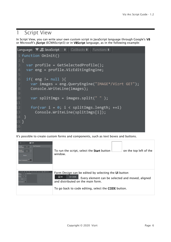# <span id="page-5-0"></span>1 Script View

In Script View, you can write your own custom script in JavaScript language through Google's V8 or Microsoft's JScript (ECMAScript3) or in VBScript language, as in the following example:



It's possible to create custom forms and components, such as text boxes and buttons.

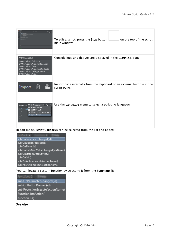| 见压压                                                                                                                                                                                           | To edit a script, press the Stop button<br>on the top of the script<br>main window.       |
|-----------------------------------------------------------------------------------------------------------------------------------------------------------------------------------------------|-------------------------------------------------------------------------------------------|
| $\blacktriangledown$ CONSOLE<br>IMAGE*Vizrt/vizrt2<br>IMAGE*Vizrt/Weidenfellner<br>IMAGE*Vizrt/WIN2<br>IMAGE*Vizrt/windowStudio03<br>IMAGE*Vizrt/wingHLBase<br>IMAGE*Vizrt/wire               | Console logs and debugs are displayed in the CONSOLE pane.                                |
| EI<br>Import                                                                                                                                                                                  | Import code internally from the clipboard or an external text file in the<br>script pane. |
| $\bullet$ <b>Q</b> Cal<br>Language: '8' JS JavaScript<br><b>WE MS VBScript</b><br>1 Global<br><b>S</b> MS JScript<br>2 {<br><sup>9</sup> JS JavaScript [Deprecated]<br><b>V</b> JS JavaScript | Use the Language menu to select a scripting language.                                     |

In edit mode, Script Callbacks can be selected from the list and added:

| Callbacks $\div$                   |
|------------------------------------|
| sub OnParameterChanged(id)         |
| sub OnButtonPressed(id)            |
| sub OnTimer(id)                    |
| sub OnDataMapValueChanged(varName) |
| sub OnStreamDeckKey(key)           |
| sub OnInit()                       |
| sub PreActionExecute(actionName)   |
| sub PosActionExecute(actionName)   |

You can locate a custom function by selecting it from the Functions list:



#### See Also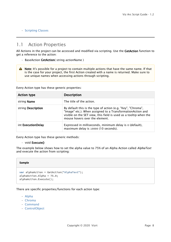#### • [Scripting Classes](#page-24-2)

# <span id="page-7-0"></span>1.1 Action Properties

All Actions in the project can be accessed and modified via scripting. Use the GetAction function to get a reference to the action:

- BaseAction GetAction( string actionName )
- A Note: It's possible for a project to contain multiple actions that have the same name. If that is the case for your project, the first Action created with a name is returned. Make sure to use unique names when accessing actions through scripting.

Every Action type has these generic properties:

| <b>Action type</b> | <b>Description</b>                                                                                                                                                                                                                |  |
|--------------------|-----------------------------------------------------------------------------------------------------------------------------------------------------------------------------------------------------------------------------------|--|
| string Name        | The title of the action.                                                                                                                                                                                                          |  |
| string Description | By default this is the type of action (e.g. "Key", "Chroma",<br>"Image" etc.). When assigned to a TransformationAction and<br>visible on the SET view, this field is used as a tooltip when the<br>mouse hovers over the element. |  |
| int ExecutionDelay | Expressed in milliseconds, minimum delay is 0 (default),<br>maximum delay is 10000 (10 seconds).                                                                                                                                  |  |

Every Action type has these generic methods:

#### • void **Execute()**

The example below shows how to set the alpha value to 75% of an Alpha Action called *AlphaText* and execute the action from scripting:

#### **Sample**

```
var alphaAction = GetAction("AlphaText");
alphaAction.Alpha = 75.0;
alphaAction.Execute();
```
#### There are specific properties/functions for each action type:

- [Alpha](#page-8-0)
- [Chroma](#page-8-1)
- [Command](#page-10-0)
- [ControlObject](#page-10-1)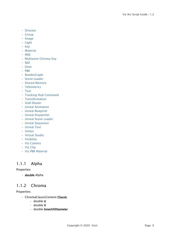- [Director](#page-10-2)
- [Group](#page-10-3)
- [Image](#page-10-4)
- [Light](#page-11-0)
- [Key](#page-11-1)
- [Material](#page-11-2)
- [MSE](#page-12-0)
- [Multizone Chroma Key](#page-12-1)
- [NDI](#page-12-2)
- [Omo](#page-13-0)
- [PBR](#page-13-1)
- [RenderGraph](#page-14-0)
- [Scene Loader](#page-14-1)
- [Shared Memory](#page-14-2)
- [Telemetrics](#page-15-0)
- [Text](#page-15-1)
- [Tracking Hub Command](#page-15-2)
- [Transformation](#page-15-3)
- [Utah Router](#page-15-4)
- [Unreal Animation](#page-15-5)
- [Unreal Blueprint](#page-16-0)
- [Unreal Dispatcher](#page-16-1)
- [Unreal Scene Loader](#page-16-2)
- [Unreal Sequencer](#page-16-3)
- [Unreal Text](#page-16-4)
- [Vinten](#page-16-5)
- [Virtual Studio](#page-16-6)
- [Visibility](#page-17-0)
- [Viz Camera](#page-17-1)
- [Viz Clip](#page-17-2)
- [Viz PBR Material](#page-17-3)

# <span id="page-8-0"></span>1.1.1 Alpha

### Properties:

• double Alpha

# <span id="page-8-1"></span>1.1.2 Chroma

- ChromaClassicContent Classic
	- double U
	- double V
	- double InnerUVDiameter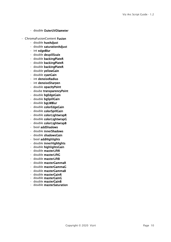- double OuterUVDiameter
- ChromaFusionContent Fusion
	- double hueAdjust
	- double saturationAdjust
	- int edgeBlur
	- double despillScale
	- double backingPlateR
	- double backingPlateR
	- double backingPlateR
	- double yellowGain
	- double cyanGain
	- int denoiseRadius
	- int denoiseSharpen
	- double opacityPoint
	- doube transparencyPoint
	- double bgEdgeGain
	- double bgSpillGain
	- double bgLWBlur
	- double colorEdgeGain
	- double colorSpillGain
	- double colorLightwrapR
	- double colorLightwrapG
	- double colorLightwrapB
	- bool addShadows
	- double innerShadows
	- double shadowsGain
	- bool addHighlights
	- double innerHighlights
	- double highlightsGain
	- double masterLiftR
	- double masterLiftG
	- double masterLiftB
	- double masterGammaR
	- double masterGammaG
	- double masterGammaB
	- double masterGainR
	- double masterGainG
	- double masterGainB
	- double masterSaturation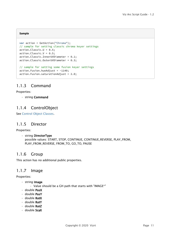#### **Sample**

```
var action = GetAction("Chroma");
// sample for setting classic chroma keyer settings
action.Classic.U = 0.5;
action.Classic.V = 0.5;
action.Classic.InnerUVDiameter = 0.1;
action.Classic.OuterUVDiameter = 0.3;
// sample for setting some fusion keyer settings
action.Fusion.hueAdjust = -1140;action.Fusion.saturationAdjust = 2.0;
```
# <span id="page-10-0"></span>1.1.3 Command

#### Properties:

• string Command

### <span id="page-10-1"></span>1.1.4 ControlObject

See [Control Object Classes](#page-18-0).

### <span id="page-10-2"></span>1.1.5 Director

Properties:

• string DirectorType possible values: START, STOP, CONTINUE, CONTINUE\_REVERSE, PLAY\_FROM, PLAY\_FROM\_REVERSE, FROM\_TO, GO\_TO, PAUSE

### <span id="page-10-3"></span>1.1.6 Group

This action has no additional public properties.

### <span id="page-10-4"></span>1.1.7 Image

- string Image
	- Value should be a GH path that starts with "IMAGE\*"
- double PosX
- double PosY
- double RotX
- double RotY
- double RotZ
- double ScaX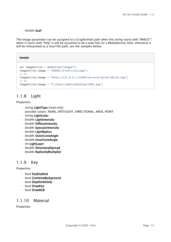#### • double ScaY

The Image parameter can be assigned to a GraphicHub path when the string starts with "IMAGE\*"; when it starts with "http" it will be assumed to be a web link (or a MediaService link), otherwise it will be interpreted as a local file path, see the samples below:

#### **Sample**

```
var imageAction = GetAction("Image");
imageAction.Image = "IMAGE*/VizArc/arcLogo";
// or
imageAction.Image = "http://127.0.0.1:21099/serve/original/AR_03.jpg";
// or
imageAction.Image = "C:/Users/admin/Desktop/CAKE.jpg";
```
# <span id="page-11-0"></span>1.1.8 Light

Properties:

- string LightType [read only] possible values: NONE, SPOTLIGHT, DIRECTIONAL, AREA, POINT
- string LightColor
- double LightIntensity
- double DiffuseIntensity
- double SpecularIntensity
- double LightRadius
- double OuterConeAngle
- double InnerConeAngle
- int LightLayer
- double DirectionalSpread
- double RadiosityMultiplier

### <span id="page-11-1"></span>1.1.9 Key

Properties:

- bool KeyEnabled
- bool CombineBackground
- bool DepthInfoOnly
- bool DrawKey
- bool DrawRGB

### <span id="page-11-2"></span>1.1.10 Material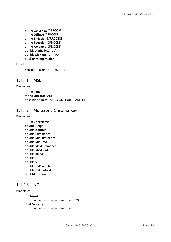- string ColorHex [#RRGGBB]
- string Diffuse [#RRGGBB]
- string Emission [#RRGGBB]
- string Specular [#RRGGBB]
- string Ambient [#RRGGBB]
- $\cdot$  double Alpha  $[0...100]$
- double Shiniess [0…100]
- bool UseSimpleColor

Functions:

• SetColorRBG(int r, int g, int b)

### <span id="page-12-0"></span>1.1.11 MSE

#### Properties:

- string Page
- string DirectorType possible values: TAKE, CONTINUE, TAKE\_OUT

# <span id="page-12-1"></span>1.1.12 Multizone Chroma Key

#### Properties:

- string ZoneName
- double Height
- double Altitude
- double Luminance
- double MinLuminance
- double MinGrad
- double MaxLuminance
- double MaxGrad
- double Blend
- double U
- double V
- double UVDiameter
- double UVGradient
- bool IsFullscreen

# <span id="page-12-2"></span>1.1.13 NDI

- int Preset
	- value must be between 0 and 99
- float Velocity
	- value must be between 0 and 1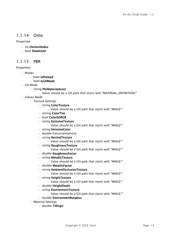### <span id="page-13-0"></span>1.1.14 Omo

#### Properties:

- int ElementIndex
- bool ShowUntil

### <span id="page-13-1"></span>1.1.15 PBR

- Modes
	- bool IsPreload
	- bool IsGHMode
- GH Mode
	- string PbrMaterialAsset
		- Value should be a GH path that starts with "MATERIAL\_DEFINITION\*"
- Values Mode
	- Texture Settings
		- string ColorTexture
			- Value should be a GH path that starts with "IMAGE\*"
		- |string ColorTint
		- bool ColorIsSRGB
		- string EmissiveTexture
			- Value should be a GH path that starts with "IMAGE\*"
		- string EmissiveColor
		- double EmissiveIntensity
		- string NormalTexture
			- Value should be a GH path that starts with "IMAGE\*"
		- string RoughnessTexture
			- Value should be a GH path that starts with "IMAGE\*"
		- double RoughnessFactor
		- string MetallicTexture
			- Value should be a GH path that starts with "IMAGE\*"
		- double MetallicFactor
		- string AmbientOcclusionTexture
			- Value should be a GH path that starts with "IMAGE\*"
		- string HeightTexture
			- Value should be a GH path that starts with "IMAGE\*"
		- double HeightDepth
		- string EnvironmentTexture
			- Value should be a GH path that starts with "IMAGE\*"
		- double EnvironmentRotation
	- Material Settings
		- double TillingU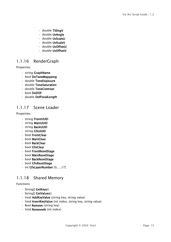- double TillingV
- double UvAngle
- double UvScaleU
- double UvScaleV
- double UvOffsetU
- double UvOffsetV

### <span id="page-14-0"></span>1.1.16 RenderGraph

Properties:

- string GraphName
- bool DoToneMappping
- double ToneExposure
- double ToneSaturation
- double ToneContrast
- bool DoDOF
- double DofFocalLength

### <span id="page-14-1"></span>1.1.17 Scene Loader

#### Properties:

- string FrontUUID
- string MainUUID
- string BackUUID
- string GfxUUID
- bool FrontClear
- bool MainClear
- bool BackClear
- bool GfxClear
- bool FrontResetStage
- bool MainResetStage
- bool BackResetStage
- bool GfxResetStage
- int GfxLayerNumber [0,…,17]

# <span id="page-14-2"></span>1.1.18 Shared Memory

#### Functions:

- String[] GetKeys()
- String[] GetValues()
- Void AddKeyValue (string key, string value)
- Void **InsertKeyValue** (int index, string key, string value)
- Bool Remove (string key)
- Void RemoveAt (int index)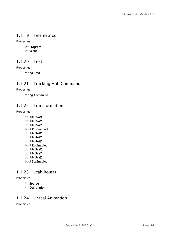# <span id="page-15-0"></span>1.1.19 Telemetrics

Properties:

- int Program
- int Scene

### <span id="page-15-1"></span>1.1.20 Text

Properties:

• string Text

# <span id="page-15-2"></span>1.1.21 Tracking Hub Command

Properties:

• string Command

# <span id="page-15-3"></span>1.1.22 Transformation

Properties:

- double PosX
- double PosY
- double PosZ
- bool PosEnabled
- double RotX
- double RotY
- double RotZ
- bool RotEnabled
- double ScaX
- double ScaY
- double ScaZ
- bool ScaEnabled

# <span id="page-15-4"></span>1.1.23 Utah Router

Properties:

- int Source
- int Desitnation

# <span id="page-15-5"></span>1.1.24 Unreal Animation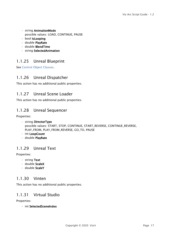- string AnimationMode possible values: LOAD, CONTINUE, PAUSE
- bool IsLooping
- double PlayRate
- double BlendTime
- string SelectedAnimation

# <span id="page-16-0"></span>1.1.25 Unreal Blueprint

See [Control Object Classes](#page-18-0).

# <span id="page-16-1"></span>1.1.26 Unreal Dispatcher

This action has no additional public properties.

# <span id="page-16-2"></span>1.1.27 Unreal Scene Loader

This action has no additional public properties.

### <span id="page-16-3"></span>1.1.28 Unreal Sequencer

Properties:

- string DirectorType possible values: START, STOP, CONTINUE, START\_REVERSE, CONTINUE\_REVERSE, PLAY\_FROM, PLAY\_FROM\_REVERSE, GO\_TO, PAUSE
- int LoopCount
- double PlayRate

# <span id="page-16-4"></span>1.1.29 Unreal Text

#### Properties:

- string Text
- double ScaleX
- double ScaleY

### <span id="page-16-5"></span>1.1.30 Vinten

This action has no additional public properties.

# <span id="page-16-6"></span>1.1.31 Virtual Studio

Properties:

• int SelectedSceneIndex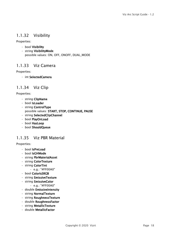# <span id="page-17-0"></span>1.1.32 Visibility

Properties:

- bool Visibility
- string VisibilityMode possible values: ON, OFF, ONOFF, DUAL\_MODE

# <span id="page-17-1"></span>1.1.33 Viz Camera

Properties:

• int SelectedCamera

# <span id="page-17-2"></span>1.1.34 Viz Clip

Properties:

- string ClipName
- bool IsLoader
- string ControlType
	- possible values: START, STOP, CONTINUE, PAUSE
- string SelectedClipChannel
- bool PlayOnLoad • bool HasLoop
- bool ShouldQueue

# <span id="page-17-3"></span>1.1.35 Viz PBR Material

- bool IsPreLoad
- bool IsGHMode
- string PbrMaterialAsset
- string ColorTexture
- string ColorTint
	- e.g.: "#FF00A0"
- bool ColorIsSRGB
- string EmissiveTexture
- string EmissiveColor
	- e.g.: "#FF00A0"
- double EmissiveIntensity
- string NormalTexture
- string RoughnessTexture
- double RoughnessFactor
- string MetallicTexture
- double MetallicFactor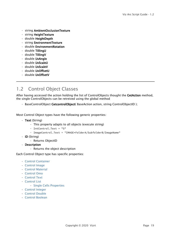- string AmbientOcclusionTexture
- string HeightTexture
- double HeightDepth
- string EnvironmentTexture
- double EnvironmentRotation
- double TillingU
- double TillingV
- double UvAngle
- double UvScaleU
- double UvScaleV
- double UvOffsetU
- double UvOffsetV

# <span id="page-18-0"></span>1.2 Control Object Classes

After having accessed the action holding the list of ControlObjects thought the GetAction method, the single ControlObjects can be retreived using the global method

• BaseControlObject GetcontrolObject (BaseAction action, string ControlObjectID);

Most Control Object types have the following generic properties:

- Text (String)
	- This property adapts to all objects (execute string)
	- IntControl.Text = "5"
	- ImageControl.Text = "IMAGE\*FolderA/SubfolderB/ImageName"
- ID (String)
	- Returns ObjectID
- Description
	- Returns the object description

Each Control Object type has specific properties:

- [Control Container](#page-19-0)
- [Control Image](#page-19-1)
- [Control Material](#page-19-2)
- [Control Omo](#page-19-3)
- [Control Text](#page-19-4)
- [Control List](#page-20-0)
	- [Single Cells Properties](#page-20-1)
- [Control Integer](#page-21-0)
- [Control Double](#page-21-1)
- [Control Boolean](#page-21-2)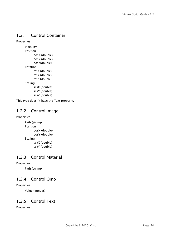# <span id="page-19-0"></span>1.2.1 Control Container

Properties:

- Visibility
- Position
	- posX (double)
	- posY (double)
	- posZ(double)
- Rotation
	- rotX (double)
	- rotY (double)
	- rotZ (double)
- Scaling
	- scaX (double)
	- scaY (double)
	- scaZ (double)

This type doesn't have the Text property.

# <span id="page-19-1"></span>1.2.2 Control Image

#### Properties:

- Path (string)
- Position
	- posX (double)
	- posY (double)
- Scaling
	- scaX (double)
	- scaY (double)

# <span id="page-19-2"></span>1.2.3 Control Material

#### Properties:

• Path (string)

# <span id="page-19-3"></span>1.2.4 Control Omo

#### Properties:

• Value (integer)

# <span id="page-19-4"></span>1.2.5 Control Text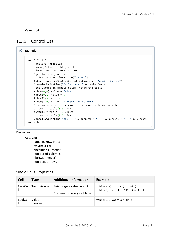• Value (string)

# <span id="page-20-0"></span>1.2.6 Control List

```
Example:
     sub OnInit()
          'declare variables
          dim objAction, table, cell
          dim output1, output2, output3
          'get table obj action
          objAction = arc.GetAction("object")
          table = arc.GetControlObject (objAction, "controlObj_ID")
          Console.WriteLine("Table name: " & table.Text)
          'set values in single cells inside the table
          table(0,0).value = false
         table(0,1).value = 5table(2,5) . x = 12table(3,6).value = "IMAGE*/Default/GER"
          'assign values to a variable and show in debug console
         output1 = table(0,0). Text
         output2 = table(0,1). Text
         output3 = table(0,2). Text
         Console.WriteLine("cell - " & output1 & " | " & output2 & " | " & output3)
     end sub
```
#### Properties:

#### • Accessor

- table[int row, int col]
	- returns a cell
- nbcolumns (integer) number of columns
- nbrows (integer) numbers of rows

### <span id="page-20-1"></span>Single Cells Properties

| Cell           | <b>Type</b>        | <b>Additional Information</b>                               | <b>Example</b>                                                        |
|----------------|--------------------|-------------------------------------------------------------|-----------------------------------------------------------------------|
| BaseCe         | Text (string)      | Sets or gets value as string.<br>Common to every cell type. | $table(0,5) .x = 12 (intCell)$<br>$table(0,5)$ .text = "12" (intCell) |
| <b>BoolCel</b> | Value<br>(boolean) |                                                             | $table(0,5)$ .active= true                                            |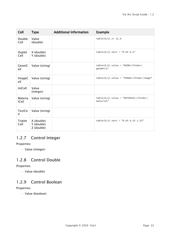| Cell                    | <b>Type</b>                            | <b>Additional Information</b> | <b>Example</b>                                        |
|-------------------------|----------------------------------------|-------------------------------|-------------------------------------------------------|
| Double<br>Cell          | Value<br>(double)                      |                               | $table(0,5) .x = 12.8$                                |
| Duplet<br>Cell          | X (double)<br>Y (double)               |                               | $table(0,5) . text = "0.55 0.2"$                      |
| GeomC<br>ell            | Value (string)                         |                               | $table(0,5)$ .value = "GEOM*/folder/<br>geometry"     |
| ImageC<br>ell           | Value (string)                         |                               | $table(0,5)$ .value = "IMAGE*/folder/image"           |
| IntCell                 | Value<br>(integer)                     |                               |                                                       |
| Materia<br><b>ICell</b> | Value (string)                         |                               | $table(0,5)$ .value = "MATERIAL*/folder/<br>material" |
| TextCe<br>Ш             | Value (string)                         |                               |                                                       |
| Triplet<br>Cell         | X (double)<br>Y (double)<br>Z (double) |                               | $table(0,5) .text = "0.55 0.23 1.23"$                 |

# <span id="page-21-0"></span>1.2.7 Control Integer

Properties:

• Value (integer)

# <span id="page-21-1"></span>1.2.8 Control Double

Properties:

• Value (double)

# <span id="page-21-2"></span>1.2.9 Control Boolean

### Properties:

• Value (boolean)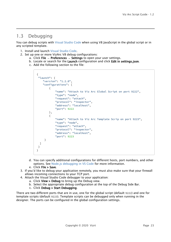# <span id="page-22-0"></span>1.3 Debugging

You can debug scripts with [Visual Studio Code](https://code.visualstudio.com/) when using V8 JavaScript in the global script or in any scripted template.

- 1. Install and launch [Visual Studio Code.](https://code.visualstudio.com/)
- 2. Set up one or more VizArc V8 debug configurations:
	- a. Click File → Preferences → Settings to open your user settings.
	- b. Locate or search for the Launch configuration and click Edit in settings.json.
	- c. Add the following section to the file:

```
{
 "launch": {
     "version": "1.2.0",
     "configurations": [
         {
              "name": "Attach to Viz Arc Global Script on port 9222",
              "type": "node",
              "request": "attach",
              "protocol": "inspector",
              "address": "localhost",
              "port": 9222
         },
         {
              "name": "Attach to Viz Arc Template Scrip on port 9223",
              "type": "node",
              "request": "attach",
              "protocol": "inspector",
              "address": "localhost",
              "port": 9223
      }
   ]
  }
}
```
- d. You can specify additional configurations for different hosts, port numbers, and other options. See [Node.js debugging in VS Code](https://code.visualstudio.com/docs/nodejs/nodejs-debugging) for more information.
- e. Click File > Save.
- 3. If you'd like to debug your application remotely, you must also make sure that your firewall allows incoming connections to your TCP port.
- 4. Attach the Visual Studio Code debugger to your application:
	- a. Click **View > Debug** to bring up the Debug view.
	- b. Select the appropriate debug configuration at the top of the Debug Side Bar.
	- c. Click Debug > Start Debugging.

There are two different ports that are in use, one for the global script (default 9222) and one for template scripts (default 9223). Template scripts can be debugged only when running in the designer. The ports can be configured in the global configuration settings.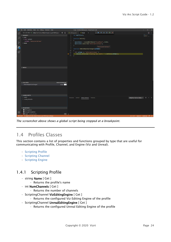| $\mathbf{M}$                  | File Edit Selection View Go Debug Terminal Help                                                             |             | Script - Untitled (Workspace) - Visual Studio Code                                                                                                                                                                                                                                                                                                                                                                                                               | $\Box$    | $\mathsf{x}$ |
|-------------------------------|-------------------------------------------------------------------------------------------------------------|-------------|------------------------------------------------------------------------------------------------------------------------------------------------------------------------------------------------------------------------------------------------------------------------------------------------------------------------------------------------------------------------------------------------------------------------------------------------------------------|-----------|--------------|
| மு                            | RUN AND DEBUG $\triangleright$ Attach to Viz Arc Global Script on port 9222 (use $\vee$ $\otimes$ $\boxdot$ |             | $7 + 150$<br>{} settings.json<br>Ξ.<br>JS Script<br>$\times$<br>▶                                                                                                                                                                                                                                                                                                                                                                                                | $\square$ |              |
|                               | $\vee$ VARIABLES                                                                                            |             | var mqttClient;                                                                                                                                                                                                                                                                                                                                                                                                                                                  |           |              |
| Q<br>೪<br>爲<br>$\mathbb{B}^2$ | $\vee$ Local<br>> this: global<br>varName: "hello/world/news"<br>$\angle$ Global                            |             | $\overline{2}$<br>function OnInit()<br>$\overline{3}$<br>$\overline{A}$<br>mqttClient = createMQTTClient("localhost", 6548);<br>mqttClient.Subscribe("hello/world/news");<br>-6<br>ŋ<br>7<br>"hello/world/news"<br>$\mathbf{R}$<br>function OnDataMapValueChanged(varName)<br>$\overline{9}$<br>10<br>₹<br>${\bf 11}$<br>if( varName == "hello/world/news" )<br><b>D</b> 12<br>Console.WriteLine("breaking news alert: " + GetData(varName));<br>13 <sub>1</sub> |           |              |
|                               | $\vee$ WATCH                                                                                                |             |                                                                                                                                                                                                                                                                                                                                                                                                                                                                  |           |              |
|                               |                                                                                                             |             |                                                                                                                                                                                                                                                                                                                                                                                                                                                                  |           |              |
|                               | $\vee$ CALL STACK<br>PAUSED ON BREAKPOINT                                                                   |             |                                                                                                                                                                                                                                                                                                                                                                                                                                                                  |           |              |
|                               | OnDataMapValueChanged<br>$\vee$ LOADED SCRIPTS                                                              | Script 12:5 |                                                                                                                                                                                                                                                                                                                                                                                                                                                                  |           |              |
|                               | $>$ <eval></eval>                                                                                           |             | Attach to Viz Arc Globa $\vee$ $\implies$ $\wedge$ $\times$<br>PROBLEMS OUTPUT DEBUG CONSOLE TERMINAL                                                                                                                                                                                                                                                                                                                                                            |           |              |
|                               | > <node internals=""><br/><math>\vee</math> BREAKPOINTS</node>                                              |             |                                                                                                                                                                                                                                                                                                                                                                                                                                                                  |           |              |
|                               | All Exceptions                                                                                              |             |                                                                                                                                                                                                                                                                                                                                                                                                                                                                  |           |              |
| ફ્રેઝુ                        | Uncaught Exceptions                                                                                         |             |                                                                                                                                                                                                                                                                                                                                                                                                                                                                  |           |              |
|                               | Script \ <node_internals><br/>The company's company's</node_internals>                                      | $12:5$ >    |                                                                                                                                                                                                                                                                                                                                                                                                                                                                  | 50 C      |              |

*The screenshot above shows a global script being stopped at a breakpoint.*

# <span id="page-23-0"></span>1.4 Profiles Classes

This section contains a list of properties and functions grouped by type that are useful for communicating with Profile, Channel, and Engine (Viz and Unreal).

- [Scripting Profile](#page-23-1)
- [Scripting Channel](#page-24-0)
- [Scripting Engine](#page-24-1)

# <span id="page-23-1"></span>1.4.1 Scripting Profile

- string Name [ Get ]
	- Returns the profile's name
- int NumChannels [ Get ]
	- Returns the number of channels
- ScriptingChannel VizEditingEngine [ Get ]
	- Returns the configured Viz Editing Engine of the profile
- ScriptingChannel UnrealEditingEngine [ Get ]
	- Returns the configured Unreal Editing Engine of the profile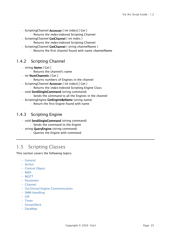- ScriptingChannel Accessor [ int index] [ Get ]
	- Returns the *index*-indexed Scripting Channel
- ScriptingChannel GetChannel ( int index )
	- Returns the *index*-indexed Scripting Channel
- ScriptingChannel GetChannel (string channelName)
	- Returns the first channel found with name *channelName*

### <span id="page-24-0"></span>1.4.2 Scripting Channel

- string Name [ Get ]
	- Returns the channel's name
- int NumChannels [ Get ]
	- Returns numbers of Engines in the channel
- ScriptingChannel Accessor [ int index] [ Get ]
	- Returns the *index*-indexed Scripting Engine Class
- void SendSingleCommand (string command) • Sends the command to all the Engines in the channel
- ScriptingEngine GetEngineByName (string name)
	- Return the first Engine found with name

# <span id="page-24-1"></span>1.4.3 Scripting Engine

- void SendSingleCommand (string command) • Sends the command to the Engine
- string **QueryEngine** (string command)
	- Queries the Engine with command

# <span id="page-24-2"></span>1.5 Scripting Classes

This section covers the following topics:

- [General](#page-26-0)
- [Action](#page-26-1)
- [Control Object](#page-26-2)
- [MIDI](#page-27-0)
- [MQTT](#page-28-0)
- [Parameter](#page-30-0)
- [Channel](#page-31-0)
- [Viz/Unreal Engine Communication](#page-32-0)
- [SMM Handling](#page-33-0)
- [GPI](#page-33-1)
- [Timer](#page-34-0)
- [StreamDeck](#page-35-0)
- [DataMap](#page-36-0)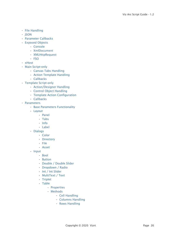- [File Handling](#page-37-0)
- [JSON](#page-37-1)
- [Parameter Callbacks](#page-37-2)
- [Exposed Objects](#page-38-0)
	- [Console](#page-38-1)
	- [XmlDocument](#page-39-0)
	- [XMLHttpRequest](#page-39-1)
	- [FSO](#page-40-1)
- [xHost](#page-40-0)
- [Main Script-only](#page-41-0)
	- [Canvas Tabs Handling](#page-41-1)
	- [Action Template Handling](#page-41-2)
	- [Callbacks](#page-42-1)
- [Template Script-only](#page-42-0)
	- [Action/Designer Handling](#page-42-2)
	- [Control Object Handling](#page-42-3)
	- [Template Action Configuration](#page-43-1)
	- [Callbacks](#page-43-2)
- [Parameters](#page-43-0)
	- [Base Parameters Functionality](#page-43-3)
	- [Layout](#page-44-0)
		- [Panel](#page-44-1)
		- [Tabs](#page-44-2)
		- [Info](#page-45-0)
		- [Label](#page-45-1)
	- [Dialogs](#page-45-2)
		- [Color](#page-45-3)
		- [Directory](#page-45-4)
		- [File](#page-45-5)
		- [Asset](#page-45-6)
	- [Input](#page-45-7)
		- [Bool](#page-45-8)
		- [Button](#page-46-0)
		- [Double / Double Slider](#page-46-1)
		- [Dropdown / Radio](#page-46-2)
		- [Int / Int Slider](#page-47-0)
		- [MultiText / Text](#page-47-1)
		- [Triplet](#page-47-2)
		- [Table](#page-47-3)
			- [Properties](#page-47-4)
			- [Methods](#page-48-0)
				- [Cell Handling](#page-48-1)
				- [Columns Handling](#page-48-2)
				- [Rows Handling](#page-49-0)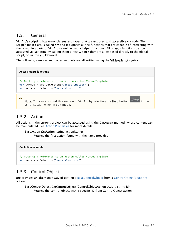# <span id="page-26-0"></span>1.5.1 General

Viz Arc's scripting has many classes and types that are exposed and accessible via code. The script's main class is called arc and it exposes all the functions that are capable of interacting with the remaining parts of Viz Arc as well as many helper functions. All of arc's functions can be accessed via scripting by calling them directly, since they are all exposed directly to the global script, or via the arc keyword.

The following samples and codes snippets are all written using the V8 JavaScript syntax:

**Accessing arc functions**

```
// Getting a reference to an action called VersusTemplate
var versus = arc.GetAction("VersusTemplate");
var versus = GetAction("VersusTemplate");
```
Note: You can also find this section in Viz Arc by selecting the Help button <sup>7</sup> Help in the script section when in edit mode.

# <span id="page-26-1"></span>1.5.2 Action

 $\mathbf{A}$ 

All actions in the current project can be accessed using the GetAction method, whose content can be manipulated. See [Action Properties](#page-7-0) for more details.

- BaseAction GetAction (string actionName)
	- Returns the first action found with the name provided.

#### **GetAction example**

```
// Getting a reference to an action called VersusTemplate
var versus = GetAction("VersusTemplate");
```
# <span id="page-26-2"></span>1.5.3 Control Object

arc provides an alternative way of getting a [BaseControlObject](#page-18-0) from a [ControlObject/Blueprint](#page-7-0) action.

- BaseControlObject GetControlObject (ControlObjectAction action, string id)
	- Returns the control object with a specific ID from ControlObject action.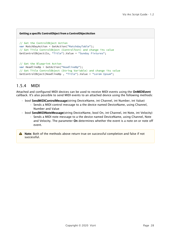#### **Getting a specific ControlObject from a ControlObjectAction**

```
// Get the ControlObject Action
var MatchDayAction = GetAction("MatchdayTable");
// Get Title ControlObject (ControlText) and change its value
GetControlObject(Co, "Title").Value = "Sunday Fixtures";
// Get the Blueprint Action
```

```
var HeadlineBp = GetAction("HeadlineBp");
// Get Title ControlObject (String Variable) and change its value
GetControlObject(HeadlineBp , "Title").Value = "Lorem Ipsum";
```
# <span id="page-27-0"></span>1.5.4 MIDI

Attached and configured MIDI devices can be used to receive MIDI events using the OnMIDIEvent callback. It's also possible to send MIDI events to an attached device using the following methods:

- bool SendMIDIControlMessage(string DeviceName, int Channel, int Number, int Value)
	- Sends a MIDI control message to a the device named DeviceName, using Channel, Number and Value
- bool SendMIDINoteMessage(string DeviceName, bool On, int Channel, int Note, int Velocity)
	- Sends a MIDI note message to a the device named DeviceName, using Channel, Note and Velocity. The parameter On determines whether the event is a note on or note off event.
- A Note: Both of the methods above return true on successful completion and false if not successful.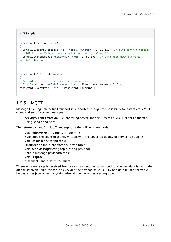#### **MIDI Sample**

```
function OnButtonPressed(id)
{
   SendMIDIControlMessage("Midi Fighter Twister", 1, 1, 127); // send control message 
to Midi Fighter Twister on channel 1, number 1, value 127
   SendMIDINoteMessage("nanoPAD2", true, 1, 5, 100); // send note down event to 
nanoPAD2 device 
}
function OnMIDIEvent(midiEvent)
{
   // just print the midi event on the console
  Console.WriteLine("midi event |" + midiEvent.DeviceName + "| " + 
midEvent.FventType + "\\n" + midFvent.ToString());
}
```
# <span id="page-28-0"></span>1.5.5 MQTT

Message Queuing Telemetry Transport is supported through the possibility to instantiate a MQTT client and send/receive messages

• ArcMqttClient createMQTTClient(string server, int port)Creates a MQTT client connected using server and port

The returned client ArcMqttClient supports the following methods

- $\cdot$  void **Subscribe**(string topic, int qos = 1) Subscribe the client to the given topic with the specified quality of service (default 1)
- void **Unsubscribe** (string topic) Unsubscribe the client from the given topic
- void sendMessage(string topic, string payload) Send a message payloadto topic
- void Dispose() disconects and deletes the client

Whenever a message is received from a topic a client has subscribed to, the new data is set to the global DataMap using the topic as key and the payload as value. Payload data in json format will be passed as json object, anything else will be passed as a string object.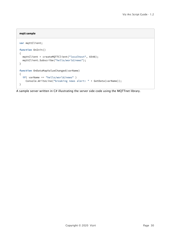#### **mqtt sample**

```
var mqttClient;
function OnInit()
{
   mqttClient = createMQTTClient("localhost", 6548); 
   mqttClient.Subscribe("hello/world/news");
}
function OnDataMapValueChanged(varName)
{
   if( varName == "hello/world/news" )
     Console.WriteLine("breaking news alert: " + GetData(varName));
}
```
A sample server written in C# illustrating the server side code using the MQTTnet library.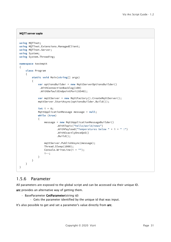#### **MQTT server saple**

```
using MQTTnet;
using MQTTnet.Extensions.ManagedClient;
using MQTTnet.Server;
using System;
using System.Threading;
namespace testmqtt
{
     class Program
     {
         static void Main(string[] args)
         {
             var optionsBuilder = new MqttServerOptionsBuilder()
              .WithConnectionBacklog(100)
              .WithDefaultEndpointPort(6548);
             var mqttServer = new MqttFactory().CreateMqttServer();
             mqttServer.StartAsync(optionsBuilder.Build());
             int i = 0;
             MqttApplicationMessage message = null;
             while (true)
{
                 message = new MqttApplicationMessageBuilder()
                          .WithTopic("hello/world/news")
                          .WithPayload("Temperatures below " + i + " !")
                          .WithExactlyOnceQoS()
                          .Build();
                 mqttServer.PublishAsync(message);
                 Thread.Sleep(1000);
                 Console.WriteLine(i + "");
                 i--;
             }
        }
    }
}
```
### <span id="page-30-0"></span>1.5.6 Parameter

All parameters are exposed to the global script and can be accessed via their unique ID. arc provides an alternative way of getting them.

- BaseParameter GetParameter(string id)
	- Gets the parameter identified by the unique id that was input.

It's also possible to get and set a parameter's value directly from arc.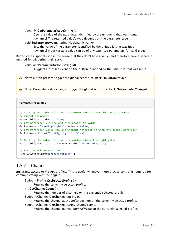- dynamic GetParameterValue(string id)
	- Gets the value of the parameter identified by the unique id that was input.
	- [dynamic] The returned value's type depends on the parameter type
- void SetParameterValue (string id, dynamic value)
	- Sets the value of the parameter identified by the unique id that was input.
	- [dynamic] Input variable value can be of any type, see parameters for valid types.

Buttons are a special case in the sense that they don't hold a value, and therefore have a separate method for triggering their *click*.

• void **PushParameterButton** (string id)

• Triggers a pressed event on the button identified by the unique id that was input.

A Note: Button presses trigger the global script's callback OnButtonPressed

A Note: Parameter value changes trigger the global script's callback OnParameterChanged

#### **Parameter examples**

```
// Setting the value of a bool parameter (id = ShowHighlights) to false
// direct assigment
ShowHighlights.Value = false;
// Get parameter via arc and then assign to Value
GetParameter("ShowHighlights").Value = false;
// Set Parameter value via arc without interacting with the actual parameter
SetParameterValue("ShowHighlights", false);
// Getting the value of a bool parameter (id = ShowHighlights)
var highlightState = GetParameterValue("ShowHighlights");
```
// Push LoadFixtures button PushParameterButton("LoadFixtures");

# <span id="page-31-0"></span>1.5.7 Channel

arc grants access to Viz Arc profiles. This is useful whenever more precise control is required for communicating with the engines.

- ScriptingProfile GetSelectedProfile ( )
	- Returns the currently selected profile.
- int GetChannelCount ( )
	- Returns the number of channels on the currently selected profile .
- ScriptingChannel GetChannel (int index)
	- Returns the channel at the *index* position on the currently selected profile.
- ScriptingChannel GetChannel (string channelName)
	- Returns the channel named *channelName* on the currently selected profile.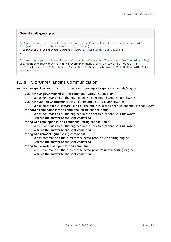#### **Channel handling examples**

```
// Clear main layer on all channels using GetChannelCount() and GetChannel(int)
for (var i = 0; i < GetChannelCount(); i++) {
 GetChannel(i).SendSingleCommand("RENDERER*MAIN_LAYER SET_OBJECT");
} 
// Send message to VideoWallchannel via GetSelectedProfile () and GetChannel(string)
GetChannel("VideoWall").SendSingleCommand("RENDERER*MAIN_LAYER SET_OBJECT");
GetSelectedProfile().GetChannel("VideoWall").SendSingleCommand("RENDERER*MAIN_LAYER 
SET_OBJECT");
```
# <span id="page-32-0"></span>1.5.8 Viz/Unreal Engine Communication

arc provides quick access functions for sending messages to specific channels/engines.

- void SendSingleCommand (string command, string channelName)
	- Sends *command* to all the engines in the specified channel channelName
- void SendMultipleCommands (string[] commands, string channelName)
	- Sends all the input *commands* to all the engines in the specified channel *channelName*
- . string Get From Engine (string command, string channel Name)
	- Sends *command* to all the engines in the specified channel *channelName*
	- Returns the answer to the sent *command*
- string GetFromEngine (string command, string channelName)
	- Sends *command* to all the engines in the specified channel *channelName*
	- Returns the answer to the sent *command*
- string GetFromVizEngine (string command)
	- Sends command to the currently selected profile's viz editing engine
	- Returns the answer to the sent *command*
- string GetFromUnrealEngine (string command)
	- Sends command to the currently selected profile's unreal editing engine
	- Returns the answer to the sent *command*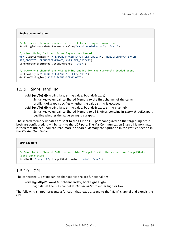#### **Engine communication**

```
// Get scene from parameter and set it to viz engine main layer
SendSingleCommand(GetParameterValue("MainSceneSelector"), "Main");
// Clear Main, Back and Front layers on channel
var CleanCommands = ["RENDERER*MAIN_LAYER SET_OBJECT", "RENDERER*BACK_LAYER 
SET_OBJECT", "RENDERER*FRONT_LAYER SET_OBJECT"]; 
SendMultipleCommands(CleanCommands, "Viz");
// Query viz channel and viz editing engine for the currently loaded scene
GetFromEngine("SCENE SCENE*SCENE GET", "Viz");
GetFromVizEngine("SCENE SCENE*SCENE GET");
```
### <span id="page-33-0"></span>1.5.9 SMM Handling

- void SendToSMM (string key, string value, bool doEscape)
	- Sends key-value pair to Shared Memory to the first channel of the current profile. doEscape specifies whether the value string is escaped.
- void SendToSMM (string key, string value, bool doEscape, string channel)
	- Sends key-value pair to Shared Memory to all Engines contains in *channel*. doEscape s pecifies whether the value string is escaped.

The shared memory updates are sent to the UDP or TCP port configured on the target Engine; if both are configured, it will be sent to the UDP port. The Viz Communication Shared Memory map is therefore utilized. You can read more on Shared Memory configuration in the Profiles section in the *Viz Arc User Guide*.

#### **SMM example**

```
// Send to Viz Channel SMM the variable "Target1" with the value from TargetState 
(Bool parameter)
SendToSMM("Target1", TargetState.Value, false, "Viz");
```
# <span id="page-33-1"></span>1.5.10 GPI

The connected GPI state can be changed via the arc functionalities:

- void SignalGpiChannel (int channelIndex, bool signalHigh)
	- Signals set the GPI channel at *channelIndex* to either high or low.

The following snippet presents a function that loads a scene to the "Main" channel and signals the GPI: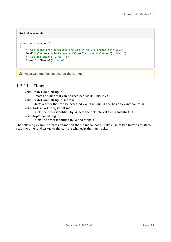#### **GetAction example**

```
function LoadScene()
{
     // Get scene from parameter and set it to viz engine main layer
     SendSingleCommand(GetParameterValue("MainSceneSelector"), "Main");
     // Set gpi channel 2 to High
     SignalGpiChannel(2, true);
}
```
A Note: GPI must be enabled on the config.

### <span id="page-34-0"></span>1.5.11 Timer

- void CreateTimer (string id)
	- Creates a timer that can be accessed via its unique *id.*
- void CreateTimer (string id, int ms)
	- Starts a timer that can be accessed via its unique *id* and has a tick interval of *ms.*
- void **StartTimer** (string id, int ms)
	- Gets the timer identified by *id*, sets the tick interval to *ms* and starts it.
- void StopTimer (string id)
	- Gets the timer identified by *id* and stops it.

The following example creates a timer on the OnInit callback, makes use of two buttons to start/ stop the timer and writes to the console whenever the timer ticks: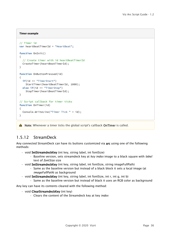#### **Timer example**

```
// Timer id
var heartBeatTimerId = "HeartBeat";
function OnInit()
{
   // Create timer with id heartBeatTimerId 
   CreateTimer(heartBeatTimerId);
}
function OnButtonPressed(id)
{
  if(id == "TimerStart")
     StartTimer(heartBeatTimerId, 1000);
   else if(id == "TimerStop")
     StopTimer(heartBeatTimerId);
}
// Script callback for timer ticks
function OnTimer(id)
{
   Console.WriteLine("Timer Tick " + id);
}
```
A Note: Whenever a timer ticks the global script's callback OnTimer is called.

# <span id="page-35-0"></span>1.5.12 StreamDeck

Any connected StreamDeck can have its buttons customized via arc using one of the following methods:

- void SetStreamdeckKey (int key, string label, int fontSize)
	- Baseline version, sets streamdeck key at *key index* image to a black square with *label* text of *fontSize* size
- void SetStreamdeckKey (int key, string label, int fontSize, string imageFullPath)
	- Same as the baseline version but instead of a black block it sets a local image (at *imageFullPath*) as background
- void **SetStreamdeckKey** (int key, string label, int fontSize, int r, int g, int b)
	- Same as the baseline version but instead of black it uses an RGB color as background

Any key can have its contents cleared with the following method:

- void ClearStreamdeckKey (int key)
	- Clears the content of the Streamdeck key at key *index*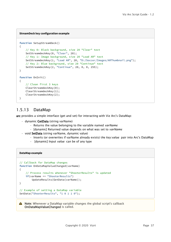#### **StreamDeck key configuration example**

```
function SetupStreamDeck()
{
     // Key 0: Black background, size 20 "Clear" text
     SetStreamdeckKey(0, "Clear", 20);
     // Key 1: Image background, size 20 "Load AR" text
     SetStreamdeckKey(1, "Load AR", 20, "D:/Soccer/Images/ARThumbnail.png");
     // Key 2: Blue background, size 20 "Continue" text
     SetStreamdeckKey(2, "Continue", 20, 0, 0, 255);
}
function OnInit()
{
     // Clean first 3 keys
      ClearStreamdeckKey(0);
     ClearStreamdeckKey(1);
     ClearStreamdeckKey(2);
}
```
# <span id="page-36-0"></span>1.5.13 DataMap

arc provides a simple interface (get and set) for interacting with Viz Arc's DataMap:

- dynamic GetData (string varName)
	- Returns the value belonging to the variable named *varName*
	- [dynamic] Returned value depends on what was set to *varName*
- void SetData (string varName, dynamic value)
	- Inserts (or overwrites if varName already exists) t*he key:value* pair into Arc's DataMap
	- [dynamic] Input *value* can be of any type

#### **DataMap example**

```
// Callback for DataMap changes
function OnDataMapValueChanged(varName)
{
     // Process results whenever "ShooterResults" is updated
     if(varName == "ShooterResults")
         UpdateResults(GetData(varName));
}
// Example of setting a DataMap variable
SetData("ShooterResults", "1 0 1 1 0");
```
A Note: Whenever a DataMap variable changes the global script's callback OnDataMapValueChanged is called.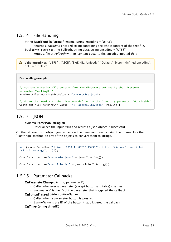### <span id="page-37-0"></span>1.5.14 File Handling

- $\cdot$  string ReadTextFile (string filename, string encoding = "UTF8")
	- Returns a *encoding* encoded string containing the whole content of the text file.
- bool WriteTextFile (string FullPath, string data, string encoding = "UTF8") • Writes a file at *FullPath* with its content equal to the encoded inputed *data*
- A Valid encodings: "UTF8", "ASCII", "BigEndianUnicode", "Default" [System defined encoding], "UTF32", "UTF7"

#### **File handling example**

```
// Get the StartList file content from the directory defined by the Directory 
parameter "WorkingDir"
ReadTextFile( WorkingDir.Value + "\\StartList.json");
// Write the results to the directory defined by the Directory parameter "WorkingDir"
```
WriteTextFile( WorkingDir.Value + "\\RaceResults.json", results);

### <span id="page-37-1"></span>1.5.15 ISON

- dynamic ParseJson (string str)
	- Deserializes the input *data* and returns a json object if successful

On the returned json object you can access the members directly using their name. Use the "ToString()" method on any of the objects to convert them to strings.

```
var json = ParseJson("{time: '1994-11-05T13:15:30Z', title: 'Viz Arc', subtitle: 
'Vizrt', messageId: 1}");
Console.WriteLine("the whole json " + json.ToString());
Console.WriteLine("the title is " + json.title.ToString());
```
# <span id="page-37-2"></span>1.5.16 Parameter Callbacks

- OnParameterChanged (string parameterID)
	- Called whenever a parameter (except button and table) changes.
	- *parameterID* is the ID of the parameter that triggered the callback
- OnButtonPressed (string buttonName)
	- Called when a parameter button is pressed.
	- *buttonName* is the ID of the button that triggered the callback
- OnTimer (string timerID)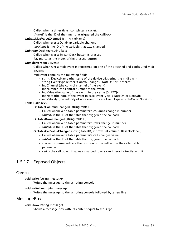- Called when a timer ticks (completes a cycle).
- *timerID* is the ID of the timer that triggered the callback
- OnDataMapValueChanged (string varName)
	- Called whenever a DataMap variable changes
	- *varName* is the ID of the variable that was changed
- OnStreamDeckKey (string key)
	- Called whenever a StreamDeck button is pressed
	- *key* indicates the index of the pressed button
- OnMidiEvent (midiEvent)
	- Called whenever a midi event is registered on one of the attached and configured midi devices
	- midiEvent contains the following fields
		- string DeviceName (the name of the device triggering the midi event;
		- string EventType (either "ControlChange", "NoteOn" or "NoteOff")
		- int Channel (the control channel of the event)
		- int Number (the control number of the event)
		- int Value (the value of the event, in the range [0..127])
		- int Note (the note of the event in case EventType is NoteOn or NoteOff)
		- int Velocity (the velocity of note event in case EventType is NoteOn or NoteOff)
- Table Callbacks
	- OnTableColumnsChanged (string tableID)
		- Called whenever a table parameter's columns change in number
		- *tableID* is the ID of the table that triggered the callback
	- OnTableRowsChanged (string tableID)
		- Called whenever a table parameter's rows change in number
		- *tableID* is the ID of the table that triggered the callback
	- OnTableCellValueChanged (string tableID, int row, int column, BaseBlock cell)
		- Called whenever a table parameter's cell changes value
		- *tableID* is the ID of the table that triggered the callback
		- *row* and *column* indicate the position of the cell within the caller table parameter
		- *cell* is the cell object that was changed. Users can interact directly with it

# <span id="page-38-0"></span>1.5.17 Exposed Objects

### <span id="page-38-1"></span>Console

- void Write (string message)
	- Writes the message to the scripting console
- void WriteLine (string message)
	- Writes the message to the scripting console followed by a new line

### MessageBox

- $\cdot$  void **Show** (string message)
	- Shows a message box with its content equal to *message*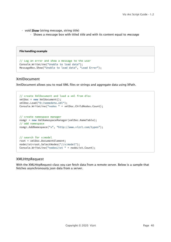- void Show (string message, string title)
	- Shows a message box with titled *title* and with its content equal to *message*

| File handling example                                 |
|-------------------------------------------------------|
| // Log an error and show a message to the user        |
| Console.WriteLine("Unable to load data");             |
| MessageBox.Show("Unable to load data", "Load Error"); |

### <span id="page-39-0"></span>XmlDocument

XmlDocument allows you to read XML files or strings and aggregate data using XPath.

```
// create XmlDocument and load a xml from disc
xmlDoc = new XmlDocument();
xmlDoc.Load("D:/somedata.xml");
Console.WriteLine("nodes " + xmlDoc.ChildNodes.Count);
// create namespace manager
nsmgr = new XmlNamespaceManager(xmlDoc.NameTable);
// add namespace
nsmgr.AddNamespace("x", "http://www.vizrt.com/types");
// search for x:model
root = xmlDoc.DocumentElement;
nodeList=root.SelectNodes("//x:model");
Console.WriteLine("nodesList " + nodeList.Count);
```
### <span id="page-39-1"></span>XMLHttpRequest

With the XMLHttpRequest class you can fetch data from a remote server. Below is a sample that fetches asynchronously json data from a server.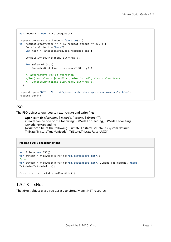```
var request = new XMLHttpRequest();
request.onreadystatechange = function() {
if (request.readyState == 4 && request.status == 200 ) {
     Console.WriteLine("here");
     var json = ParseJson(request.responseText);
     Console.WriteLine(json.ToString());
     for (elem of json) 
         Console.WriteLine(elem.name.ToString());
     // alternative way of iteration
     //for( var elem = json.First; elem != null; elem = elem.Next)
     // Console.WriteLine(elem.name.ToString());
   }
}
request.open("GET", "https://jsonplaceholder.typicode.com/users", true);
request.send();
```
### <span id="page-40-1"></span>FSO

The FSO object allows you to read, create and write files.

• OpenTextFile (*filename*, [ *iomode*, [ *create*, [ *format* ]]]) *iomode* can be one of the following: IOMode.ForReading, IOMode.ForWriting, IOMode.ForAppending *format* can be of the following: Tristate.TristateUseDefault (system default), TriState.TristateTrue (Unicode), TriState.TristateFalse (ASCII)

#### **reading a UTF8 encoded text file**

```
var file = new FSO();
var stream = file.OpenTextFile("d:/testexport.txt");
// or
var stream = file.OpenTextFile("d:/testexport.txt", IOMode.ForReading, false, 
Tristate.TristateTrue);
Console.WriteLine(stream.ReadAll());
```
# <span id="page-40-0"></span>1.5.18 xHost

The xHost object gives you access to virtually any .NET resource.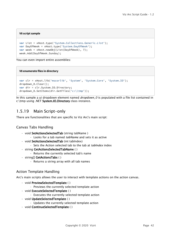#### **V8 script sample**

```
var List = xHost.type('System.Collections.Generic.List');
var DayOfWeek = xHost.type('System.DayOfWeek');
var week = xHost.newObj(List(DayOfWeek), 7);
week.Add(DayOfWeek.Sunday);
```
You can even import entire assemblies:

#### **V8 enumerate files in directory**

```
var clr = xHost.lib('mscorlib', 'System', 'System.Core', 'System.IO');
dropdown_0.Clear();
var dir = clr.System.IO.Directory;
dropdown_0.SetItems(dir.GetFiles('c:\\tmp'));
```
In this sample a ui dropdown element named *dropdown\_0* is populated with a file list contained in c:\tmp using .NET System.IO.Directory class instance.

### <span id="page-41-0"></span>1.5.19 Main Script-only

There are functionalities that are specific to Viz Arc's main script:

### <span id="page-41-1"></span>Canvas Tabs Handling

- void SetActionsSelectedTab (string tabName)
	- Looks for a tab named *tabName* and sets it as active
- void SetActionsSelectedTab (int tabIndex)
	- Sets the Action selected tab to the tab at *tabIndex* index
- string GetActionsSelectedTabName ( )
	- Returns the currently selected tab's name
- string[] GetActionsTabs ( )
	- Returns a string array with all tab names

### <span id="page-41-2"></span>Action Template Handling

Arc's main scripts allows the user to interact with template actions on the action canvas.

- void PreviewSelectedTemplate ( )
	- Previews the currently selected template action
- void ExecuteSelectedTemplate ( )
	- Executes the currently selected template action
- void UpdateSelectedTemplate ( )
	- Updates the currently selected template action
- void ContinueSelectedTemplate ( )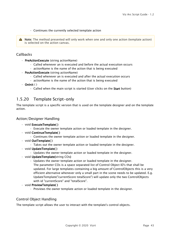#### • Continues the currently selected template action

A Note: The method presented will only work when one and only one action (template action) is selected on the action canvas.

### <span id="page-42-1"></span>Callbacks

- PreActionExecute (string actionName)
	- Called whenever an is executed and before the actual execution occurs
	- actionName is the name of the action that is being executed
- PosActionExecute (string actionName)
	- Called whenever an is executed and after the actual execution occurs
	- actionName is the name of the action that is being executed
- $\cdot$  Onlnit ()
	- $\cdot$  Called when the main script is started (User clicks on the Start button)

# <span id="page-42-0"></span>1.5.20 Template Script-only

The template script is a specific version that is used on the template designer and on the template action.

### <span id="page-42-2"></span>Action/Designer Handling

- void ExecuteTemplate( )
	- Execute the owner template action or loaded template in the designer.
- void ContinueTemplate( )
	- Continues the owner template action or loaded template in the designer.
- void OutTemplate( )
	- Takes out the owner template action or loaded template in the designer.
- void UpdateTemplate( )
	- Updates the owner template action or loaded template in the designer.
- void UpdateTemplate(string COs)
	- Updates the owner template action or loaded template in the designer.
		- The parameter COs is a space separated list of Control Object ID's that shall be updated. For large templates containing a big amount of ControlObjects this is a very efficient alternative whenever only a small part in the scene needs to be updated. E.g. UpdateTemplate("currentScore totalScore") will update only the two ControlObjects with id "currentScore" and "totalScore".
- void PreviewTemplate( )
	- Previews the owner template action or loaded template in the designer.

### <span id="page-42-3"></span>Control Object Handling

The template script allows the user to interact with the template's control objects.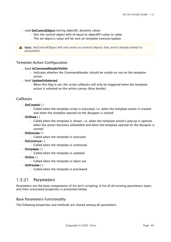- void SetControlObject (string objectID, dynamic value)
	- Sets the control object with id equal to *objectID's* value to *value*
	- The set object;s value will be sent on template execute/update

A Note: SetControlObject will only work on control objects that aren't already linked to parameters

#### <span id="page-43-1"></span>Template Action Configuration

- bool IsCommandHeaderVisible
	- Indicates whether the CommandHeader should be visible on not on the template action
- bool UpdateOnSelected
	- When this flag is set, the script callbacks will only be triggered when the template action is selected on the action canvas (blue border)

### <span id="page-43-2"></span>Callbacks

- OnCreated ( )
	- Called when the template script is executed, i.e. when the template action is created and when the template opened on the designer is started
- OnShow ( )
	- Called when the template is shown, i.e. when the template action's pop-up is opened, when the action becomes embedded and when the template opened on the designer is started
- OnExecute ( )
	- Called when the template is executed
- OnContinue ( )
	- Called when the template is continued
- OnUpdate ( )
	- Called when the template is updated
- $\cdot$  OnOut ()
	- Called when the template is taken out
- OnPreview ( )
	- Called when the template is previewed

### <span id="page-43-0"></span>1.5.21 Parameters

Parameters are the base components of Viz Arc's scripting. A list of all existing parameters types and their associated properties is presented below.

#### <span id="page-43-3"></span>Base Parameters Functionality

The following properties and methods are shared among all parameters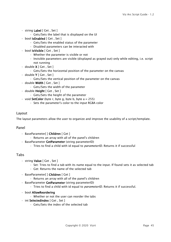- string Label [ Get , Set ]
	- Gets/Sets the label that is displayed on the UI
- bool IsEnabled [ Get , Set ]
	- Gets/Sets the enabled status of the parameter
	- Disabled parameters can be interacted with
- bool IsVisible [ Get , Set ]
	- Whether the parameter is visible or not
	- Invisible parameters are visible (displayed as grayed out) only while editing, i.e. script not running
- $\cdot$  double **X** [ Get , Set ]
	- Gets/Sets the horizontal position of the parameter on the canvas
- $\cdot$  double **Y** [ Get , Set ]
	- Gets/Sets the vertical position of the parameter on the canvas
- double Width [ Get , Set ]
	- Gets/Sets the width of the parameter
- double Height [ Get , Set ]
	- Gets/Sets the height of the parameter
- $\cdot$  void SetColor (byte r, byte g, byte b, byte a = 255)
	- Sets the parameter's color to the input RGBA color

#### <span id="page-44-0"></span>Layout

The layout parameters allow the user to organize and improve the usability of a script/template.

#### <span id="page-44-1"></span>Panel

- BaseParameter[ ] Children [ Get ]
	- Returns an array with all of the panel's children
- BaseParameter GetParameter (string parameterID)
	- Tries to find a child with id equal to *parameterID*. Returns it if successful

#### <span id="page-44-2"></span>Tabs

- string Value [ Get , Set ]
	- Set: Tries to find a tab with its name equal to the input. If found sets it as selected tab
	- Get: Returns the name of the selected tab
- BaseParameter[ ] Children [ Get ]
	- Returns an array with all of the panel's children
- BaseParameter GetParameter (string parameterID)
	- Tries to find a child with id equal to *parameterID*. Returns it if successful.
- bool AllowReordering
	- Whether or not the user can reorder the tabs
- int SelectedIndex [ Get , Set ]
	- Gets/Sets the index of the selected tab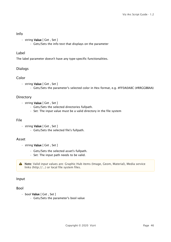### <span id="page-45-0"></span>Info

- string Value [ Get , Set ]
	- Gets/Sets the info text that displays on the parameter

### <span id="page-45-1"></span>Label

The label parameter doesn't have any type-specific functionalities.

### <span id="page-45-2"></span>Dialogs

### <span id="page-45-3"></span>Color

- string Value [ Get , Set ]
	- Gets/Sets the parameter's selected color in Hex format, e.g. #FF0A0A8C (#RRGGBBAA)

### <span id="page-45-4"></span>**Directory**

- string Value [ Get , Set ]
	- Gets/Sets the selected directories fullpath.
	- Set: The input value must be a valid directory in the file system

#### <span id="page-45-5"></span>File

- string Value [ Get , Set ]
	- Gets/Sets the selected file's fullpath.

### <span id="page-45-6"></span>Asset

- string Value [ Get , Set ]
	- Gets/Sets the selected asset's fullpath.
	- Set: The input path needs to be valid.

A Note: Valid input values are: Graphic Hub items (Image, Geom, Material), Media service links (http://...) or local file system files.

### <span id="page-45-7"></span>Input

### <span id="page-45-8"></span>Bool

- bool Value [ Get , Set ]
	- Gets/Sets the parameter's bool value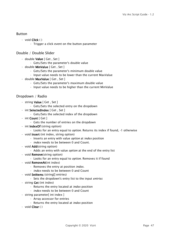### <span id="page-46-0"></span>Button

- void Click ( )
	- Trigger a click event on the button parameter

### <span id="page-46-1"></span>Double / Double Slider

- double Value [ Get , Set ]
	- Gets/Sets the parameter's double value
- double MinValue [ Get , Set ]
	- Gets/Sets the parameter's minimum double value
	- Input value needs to be lower than the current MaxValue
- double MaxValue [ Get , Set ]
	- Gets/Sets the parameter's maximum double value
	- Input value needs to be higher than the current MinValue

### <span id="page-46-2"></span>Dropdown / Radio

- string Value [ Get , Set ]
	- Gets/Sets the selected entry on the dropdown
- int SelectedIndex [ Get , Set ]
	- Gets/Sets the selected index of the dropdown
- int Count [ Get ]
	- Gets the number of entries on the dropdown
- int IndexOf (string option)
	- Looks for an entry equal to *option*. Returns its index if found, -1 otherwise
- $\cdot$  void **Insert** (int index, string option)
	- Inserts an entry with value *option* at *index* position
	- *index* needs to be between 0 and Count.
- void **Add**(string option)
	- Adds an entry with value *option* at the end of the entry list
- void **Remove**(string option)
	- Looks for an entry equal to *option*. Removes it if found
- void **RemoveAt**(int index)
	- Removes the entry at position *index*.
	- *index* needs to be between 0 and Count
- void Setitems (string[] entries)
	- Sets the dropdown's entry list to the input *entries*
- string Get (int index)
	- Returns the entry located at *index* position
	- *index* needs to be between 0 and Count
- string parameter[ int index ]
	- Array accessor for entries
	- Returns the entry located at *index* position
- void Clear ( )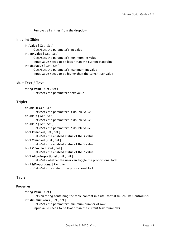• Removes all entries from the dropdown

#### <span id="page-47-0"></span>Int / Int Slider

- int Value [ Get , Set ]
	- Gets/Sets the parameter's int value
- int MinValue [ Get , Set ]
	- Gets/Sets the parameter's minimum int value
	- Input value needs to be lower than the current MaxValue
- int MaxValue [ Get , Set ]
	- Gets/Sets the parameter's maximum int value
	- Input value needs to be higher than the current MinValue

### <span id="page-47-1"></span>MultiText / Text

- string Value [ Get , Set ]
	- Gets/Sets the parameter's text value

### <span id="page-47-2"></span>Triplet

- double X[ Get , Set ]
	- Gets/Sets the parameter's X double value
- $\cdot$  double **Y** [ Get , Set ]
	- Gets/Sets the parameter's Y double value
- $\cdot$  double **Z** [ Get , Set ]
	- Gets/Sets the parameter's Z double value
- bool **XEnabled** [ Get, Set ] • Gets/Sets the enabled status of the X value
- bool YEnabled [ Get , Set ]
	- Gets/Sets the enabled status of the Y value
- $\cdot$  bool **Z Enabled** [ Get , Set ]
	- Gets/Sets the enabled status of the Z value
- bool AllowProportional [ Get , Set ]
	- Gets/Sets whether the user can toggle the proportional lock
- bool IsProportional [ Get , Set ]
	- Gets/Sets the state of the proportional lock

### <span id="page-47-3"></span>Table

- <span id="page-47-4"></span>• string Value [ Get ]
	- Gets an string containing the table content in a XML format (much like ControlList)
- int MinimumRows [ Get , Set ]
	- Gets/Sets the parameter's minimum number of rows
	- Input value needs to be lower than the current MaximumRows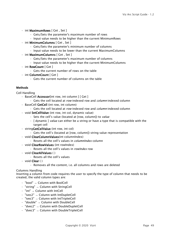- int MaximumRows [ Get , Set ]
	- Gets/Sets the parameter's maximum number of rows
	- Input value needs to be higher than the current MinimumRows
- int MinimumColumns [ Get , Set ]
	- Gets/Sets the parameter's minimum number of columns
	- Input value needs to be lower than the current MaximumColumns
- int MaximumColumns [ Get , Set ]
	- Gets/Sets the parameter's maximum number of columns
	- Input value needs to be higher than the current MinimumColumns
- int RowCount [ Get ]
	- Gets the current number of rows on the table
- int ColumnCount [ Get ]
	- Gets the current number of columns on the table

#### <span id="page-48-0"></span>**Methods**

<span id="page-48-1"></span>Cell Handling

- BaseCell Accessor[int row, int column ] [ Get ]
	- Gets the cell located at *row*-indexed row and *column*-indexed column
- BaseCell GetCell (int row, int column)
	- Gets the cell located at *row*-indexed row and *column*-indexed column
- void SetCellValue (int row, int col, dynamic value)
	- Sets the cell's value (located at [row, column]) to *value*
	- [ dynamic ] *value* can either be a string or have a type that is compatible with the target cell
- stringGetCellValue (int row, int col)
	- Gets the cell's (located at [row, column]) string value representation
- void ClearColumnValues(int columnIndex)
	- Resets all the cell's values in *columnIndex* column
- void ClearRowValues (int rowIndex)
	- Resets all the cell's values in *rowIndex* row
- void ClearAllValues ( )
	- Resets all the cell's values
- void Clear ( )
	- Removes all the content, i.e. all columns and rows are deleted

#### <span id="page-48-2"></span>Columns Handling

Inserting a column from code requires the user to specify the type of column that needs to be created, the valid column types are:

- "bool" → Column with BoolCell
- "string" → Column with StringCell
- "int" → Column with IntCell
- $\cdot$  "ivec2"  $\rightarrow$  Column with IntDupletCell
- "ivec3" → Column with IntTripletCell
- "double" → Column with DoubleCell
- "dvec2" → Column with DoubleDupletCell
- "dvec3" → Column with DoubleTripletCell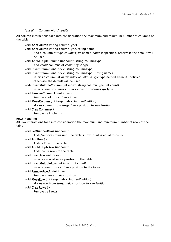• "asset" → Column with AssetCell

All column interactions take into consideration the maximum and minimum number of columns of the table

- void **AddColumn** (string columnType)
- void **AddColumn** (string columnType, string name)
	- Add a column of type *columnType* named *name* if specified, otherwise the default will be used
- void AddMultipleColumn (int count, string columnType)
	- Add *count* columns of *columnType* type
- void **InsertColumn** (int index, string columnType)
- void InsertColumn (int index, string columnType, string name)
	- Inserts a column at *index* index of *columnType* type named *name* if speficied, otherwise the default will be used
- vodi InsertMultipleColumn (int index, string columnType, int count)
	- Inserts *count* columns at *index* index of *columnType* type
- void RemoveColumnAt (int index)
	- Removes column at *index* index
- void MoveColumn (int targetIndex, int newPosition)
	- Moves column from *targetIndex* position to *newPosition*
- void ClearColumns( )
	- Removes all columns

#### <span id="page-49-0"></span>Rows Handling

All row interactions take into consideration the maximum and minimum number of rows of the table

- void SetNumberRows (int count)
	- Adds/removes rows until the table's RowCount is equal to *count*
- void AddRow ( )
	- Adds a Row to the table
- void AddMultipleRow (int count)
	- Adds *count* rows to the table
- void InsertRow (int index)
	- Inserts a row at *index* position to the table
- void InsertMultipleRow (int index, int count)
	- Inserts *count* rows at *index* position to the table
- void RemoveRowAt (int index)
	- Removes row at *index* position
- void MoveRow (int targetIndex, int newPosition)
	- Moves row from *targetIndex* position to *newPosition*
- void ClearRows ( )
	- Removes all rows